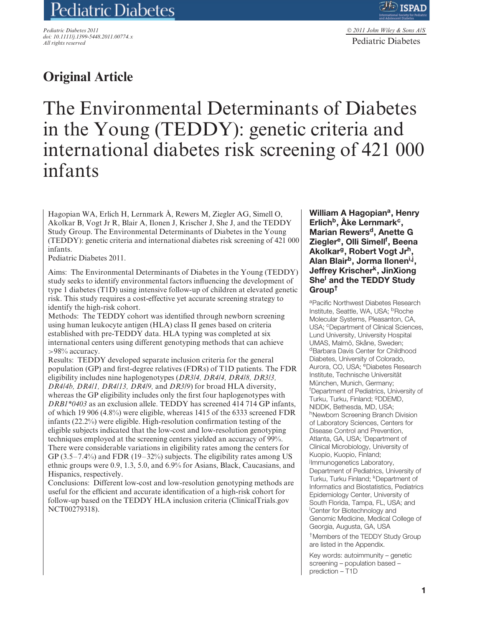# Pediatric Diabetes

*Pediatric Diabetes 2011 doi: 10.1111/j.1399-5448.2011.00774.x All rights reserved*

# **Original Article**

The Environmental Determinants of Diabetes in the Young (TEDDY): genetic criteria and international diabetes risk screening of 421 000 infants

Hagopian WA, Erlich H, Lernmark Å, Rewers M, Ziegler AG, Simell O, Akolkar B, Vogt Jr R, Blair A, Ilonen J, Krischer J, She J, and the TEDDY Study Group. The Environmental Determinants of Diabetes in the Young (TEDDY): genetic criteria and international diabetes risk screening of 421 000 infants.

Pediatric Diabetes 2011.

Aims: The Environmental Determinants of Diabetes in the Young (TEDDY) study seeks to identify environmental factors influencing the development of type 1 diabetes (T1D) using intensive follow-up of children at elevated genetic risk. This study requires a cost-effective yet accurate screening strategy to identify the high-risk cohort.

Methods: The TEDDY cohort was identified through newborn screening using human leukocyte antigen (HLA) class II genes based on criteria established with pre-TEDDY data. HLA typing was completed at six international centers using different genotyping methods that can achieve *>*98% accuracy.

Results: TEDDY developed separate inclusion criteria for the general population (GP) and first-degree relatives (FDRs) of T1D patients. The FDR eligibility includes nine haplogenotypes (*DR3/4, DR4/4, DR4/8, DR3/3, DR4/4b, DR4/1, DR4/13, DR4/9,* and *DR3/9*) for broad HLA diversity, whereas the GP eligibility includes only the first four haplogenotypes with *DRB1\*0403* as an exclusion allele. TEDDY has screened 414 714 GP infants, of which 19 906 (4.8%) were eligible, whereas 1415 of the 6333 screened FDR infants (22.2%) were eligible. High-resolution confirmation testing of the eligible subjects indicated that the low-cost and low-resolution genotyping techniques employed at the screening centers yielded an accuracy of 99%. There were considerable variations in eligibility rates among the centers for GP  $(3.5-7.4\%)$  and FDR  $(19-32\%)$  subjects. The eligibility rates among US ethnic groups were 0.9, 1.3, 5.0, and 6.9% for Asians, Black, Caucasians, and Hispanics, respectively.

Conclusions: Different low-cost and low-resolution genotyping methods are useful for the efficient and accurate identification of a high-risk cohort for follow-up based on the TEDDY HLA inclusion criteria (ClinicalTrials.gov NCT00279318).

William A Hagopian<sup>a</sup>, Henry **Erlichb, Ake Lernmark ˚ c, Marian Rewersd, Anette G Zieglere, Olli Simellf , Beena Akolkarg, Robert Vogt Jrh, Alan Blairb, Jorma Iloneni,j, Jeffrey Krischerk, JinXiong Shel and the TEDDY Study Group†**

aPacific Northwest Diabetes Research Institute, Seattle, WA, USA; <sup>b</sup>Roche Molecular Systems, Pleasanton, CA, USA; <sup>c</sup>Department of Clinical Sciences, Lund University, University Hospital UMAS, Malmö, Skåne, Sweden: dBarbara Davis Center for Childhood Diabetes, University of Colorado, Aurora, CO, USA; <sup>e</sup>Diabetes Research Institute, Technische Universität München, Munich, Germany; f Department of Pediatrics, University of Turku, Turku, Finland; <sup>g</sup>DDEMD, NIDDK, Bethesda, MD, USA; hNewborn Screening Branch Division of Laboratory Sciences, Centers for Disease Control and Prevention, Atlanta, GA, USA; <sup>i</sup>Department of Clinical Microbiology, University of Kuopio, Kuopio, Finland; Immunogenetics Laboratory, Department of Pediatrics, University of Turku, Turku Finland; KDepartment of Informatics and Biostatistics, Pediatrics Epidemiology Center, University of South Florida, Tampa, FL, USA; and l Center for Biotechnology and Genomic Medicine, Medical College of Georgia, Augusta, GA, USA †Members of the TEDDY Study Group are listed in the Appendix.

Key words: autoimmunity – genetic screening – population based – prediction – T1D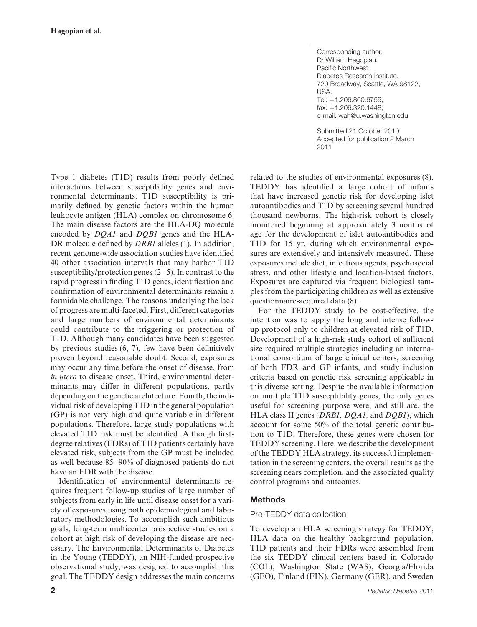Type 1 diabetes (T1D) results from poorly defined interactions between susceptibility genes and environmental determinants. T1D susceptibility is primarily defined by genetic factors within the human leukocyte antigen (HLA) complex on chromosome 6. The main disease factors are the HLA-DQ molecule encoded by *DQA1* and *DQB1* genes and the HLA-DR molecule defined by *DRB1* alleles (1). In addition, recent genome-wide association studies have identified 40 other association intervals that may harbor T1D susceptibility/protection genes  $(2-5)$ . In contrast to the rapid progress in finding T1D genes, identification and confirmation of environmental determinants remain a formidable challenge. The reasons underlying the lack of progress are multi-faceted. First, different categories and large numbers of environmental determinants could contribute to the triggering or protection of T1D. Although many candidates have been suggested by previous studies (6, 7), few have been definitively proven beyond reasonable doubt. Second, exposures may occur any time before the onset of disease, from *in utero* to disease onset. Third, environmental determinants may differ in different populations, partly depending on the genetic architecture. Fourth, the individual risk of developing T1D in the general population (GP) is not very high and quite variable in different populations. Therefore, large study populations with elevated T1D risk must be identified. Although firstdegree relatives (FDRs) of T1D patients certainly have elevated risk, subjects from the GP must be included as well because 85–90% of diagnosed patients do not have an FDR with the disease.

Identification of environmental determinants requires frequent follow-up studies of large number of subjects from early in life until disease onset for a variety of exposures using both epidemiological and laboratory methodologies. To accomplish such ambitious goals, long-term multicenter prospective studies on a cohort at high risk of developing the disease are necessary. The Environmental Determinants of Diabetes in the Young (TEDDY), an NIH-funded prospective observational study, was designed to accomplish this goal. The TEDDY design addresses the main concerns Corresponding author: Dr William Hagopian, Pacific Northwest Diabetes Research Institute, 720 Broadway, Seattle, WA 98122, USA. Tel: +1.206.860.6759; fax: +1.206.320.1448; e-mail: wah@u.washington.edu

Submitted 21 October 2010. Accepted for publication 2 March 2011

related to the studies of environmental exposures (8). TEDDY has identified a large cohort of infants that have increased genetic risk for developing islet autoantibodies and T1D by screening several hundred thousand newborns. The high-risk cohort is closely monitored beginning at approximately 3 months of age for the development of islet autoantibodies and T1D for 15 yr, during which environmental exposures are extensively and intensively measured. These exposures include diet, infectious agents, psychosocial stress, and other lifestyle and location-based factors. Exposures are captured via frequent biological samples from the participating children as well as extensive questionnaire-acquired data (8).

For the TEDDY study to be cost-effective, the intention was to apply the long and intense followup protocol only to children at elevated risk of T1D. Development of a high-risk study cohort of sufficient size required multiple strategies including an international consortium of large clinical centers, screening of both FDR and GP infants, and study inclusion criteria based on genetic risk screening applicable in this diverse setting. Despite the available information on multiple T1D susceptibility genes, the only genes useful for screening purpose were, and still are, the HLA class II genes (*DRB1, DQA1,* and *DQB1*), which account for some 50% of the total genetic contribution to T1D. Therefore, these genes were chosen for TEDDY screening. Here, we describe the development of the TEDDY HLA strategy, its successful implementation in the screening centers, the overall results as the screening nears completion, and the associated quality control programs and outcomes.

# **Methods**

# Pre-TEDDY data collection

To develop an HLA screening strategy for TEDDY, HLA data on the healthy background population, T1D patients and their FDRs were assembled from the six TEDDY clinical centers based in Colorado (COL), Washington State (WAS), Georgia/Florida (GEO), Finland (FIN), Germany (GER), and Sweden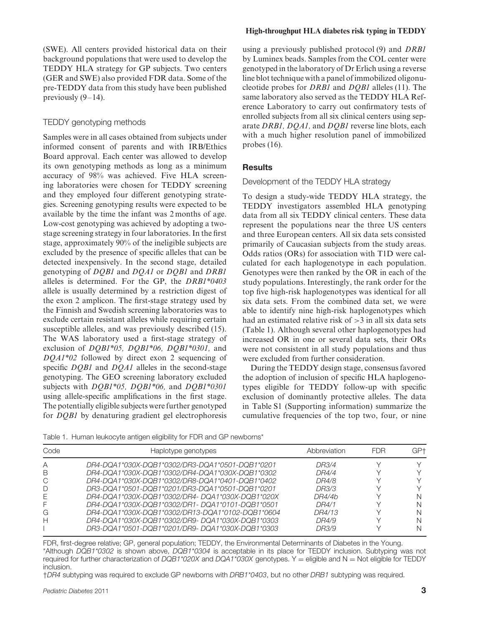(SWE). All centers provided historical data on their background populations that were used to develop the TEDDY HLA strategy for GP subjects. Two centers (GER and SWE) also provided FDR data. Some of the pre-TEDDY data from this study have been published previously  $(9-14)$ .

#### TEDDY genotyping methods

Samples were in all cases obtained from subjects under informed consent of parents and with IRB/Ethics Board approval. Each center was allowed to develop its own genotyping methods as long as a minimum accuracy of 98% was achieved. Five HLA screening laboratories were chosen for TEDDY screening and they employed four different genotyping strategies. Screening genotyping results were expected to be available by the time the infant was 2 months of age. Low-cost genotyping was achieved by adopting a twostage screening strategy in four laboratories. In the first stage, approximately 90% of the ineligible subjects are excluded by the presence of specific alleles that can be detected inexpensively. In the second stage, detailed genotyping of *DQB1* and *DQA1* or *DQB1* and *DRB1* alleles is determined. For the GP, the *DRB1\*0403* allele is usually determined by a restriction digest of the exon 2 amplicon. The first-stage strategy used by the Finnish and Swedish screening laboratories was to exclude certain resistant alleles while requiring certain susceptible alleles, and was previously described (15). The WAS laboratory used a first-stage strategy of exclusion of *DQB1\*05, DQB1\*06, DQB1\*0301,* and *DQA1\*02* followed by direct exon 2 sequencing of specific *DQB1* and *DQA1* alleles in the second-stage genotyping. The GEO screening laboratory excluded subjects with *DQB1\*05, DQB1\*06,* and *DQB1\*0301* using allele-specific amplifications in the first stage. The potentially eligible subjects were further genotyped for *DQB1* by denaturing gradient gel electrophoresis

#### **High-throughput HLA diabetes risk typing in TEDDY**

using a previously published protocol (9) and *DRB1* by Luminex beads. Samples from the COL center were genotyped in the laboratory of Dr Erlich using a reverse line blot technique with a panel of immobilized oligonucleotide probes for *DRB1* and *DQB1* alleles (11). The same laboratory also served as the TEDDY HLA Reference Laboratory to carry out confirmatory tests of enrolled subjects from all six clinical centers using separate *DRB1, DQA1,* and *DQB1* reverse line blots, each with a much higher resolution panel of immobilized probes (16).

## **Results**

#### Development of the TEDDY HLA strategy

To design a study-wide TEDDY HLA strategy, the TEDDY investigators assembled HLA genotyping data from all six TEDDY clinical centers. These data represent the populations near the three US centers and three European centers. All six data sets consisted primarily of Caucasian subjects from the study areas. Odds ratios (ORs) for association with T1D were calculated for each haplogenotype in each population. Genotypes were then ranked by the OR in each of the study populations. Interestingly, the rank order for the top five high-risk haplogenotypes was identical for all six data sets. From the combined data set, we were able to identify nine high-risk haplogenotypes which had an estimated relative risk of *>*3 in all six data sets (Table 1). Although several other haplogenotypes had increased OR in one or several data sets, their ORs were not consistent in all study populations and thus were excluded from further consideration.

During the TEDDY design stage, consensus favored the adoption of inclusion of specific HLA haplogenotypes eligible for TEDDY follow-up with specific exclusion of dominantly protective alleles. The data in Table S1 (Supporting information) summarize the cumulative frequencies of the top two, four, or nine

Table 1. Human leukocyte antigen eligibility for FDR and GP newborns\*

| Code | Haplotype genotypes                              | Abbreviation | <b>FDR</b> | GP+ |
|------|--------------------------------------------------|--------------|------------|-----|
| Α    | DR4-DQA1*030X-DQB1*0302/DR3-DQA1*0501-DQB1*0201  | DR3/4        |            |     |
| В    | DR4-DQA1*030X-DQB1*0302/DR4-DQA1*030X-DQB1*0302  | DR4/4        |            |     |
| C    | DR4-DQA1*030X-DQB1*0302/DR8-DQA1*0401-DQB1*0402  | DR4/8        |            |     |
| D    | DR3-DQA1*0501-DQB1*0201/DR3-DQA1*0501-DQB1*0201  | DR3/3        |            |     |
|      | DR4-DQA1*030X-DQB1*0302/DR4-DQA1*030X-DQB1*020X  | DR4/4b       |            |     |
|      | DR4-DQA1*030X-DQB1*0302/DR1-DQA1*0101-DQB1*0501  | DR4/1        |            |     |
| G    | DR4-DQA1*030X-DQB1*0302/DR13-DQA1*0102-DQB1*0604 | DR4/13       |            |     |
| н    | DR4-DQA1*030X-DQB1*0302/DR9-DQA1*030X-DQB1*0303  | DR4/9        |            |     |
|      | DR3-DQA1*0501-DQB1*0201/DR9-DQA1*030X-DQB1*0303  | DR3/9        |            |     |

FDR, first-degree relative; GP, general population; TEDDY, the Environmental Determinants of Diabetes in the Young. \*Although *DQB1\*0302* is shown above, *DQB1\*0304* is acceptable in its place for TEDDY inclusion. Subtyping was not required for further characterization of *DQB1\*020X* and *DQA1\*030X* genotypes. Y = eligible and N = Not eligible for TEDDY inclusion.

†*DR4* subtyping was required to exclude GP newborns with *DRB1\*0403*, but no other *DRB1* subtyping was required.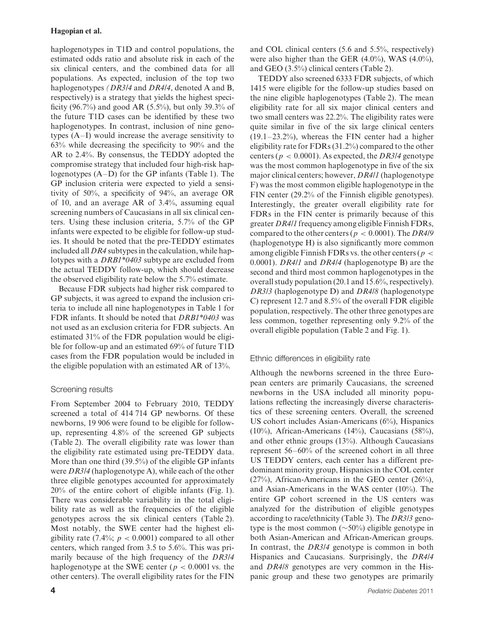haplogenotypes in T1D and control populations, the estimated odds ratio and absolute risk in each of the six clinical centers, and the combined data for all populations. As expected, inclusion of the top two haplogenotypes *(DR3/4* and *DR4/4*, denoted A and B, respectively) is a strategy that yields the highest specificity (96.7%) and good AR (5.5%), but only 39.3% of the future T1D cases can be identified by these two haplogenotypes. In contrast, inclusion of nine genotypes (A–I) would increase the average sensitivity to 63% while decreasing the specificity to 90% and the AR to 2.4%. By consensus, the TEDDY adopted the compromise strategy that included four high-risk haplogenotypes (A–D) for the GP infants (Table 1). The GP inclusion criteria were expected to yield a sensitivity of 50%, a specificity of 94%, an average OR of 10, and an average AR of 3.4%, assuming equal screening numbers of Caucasians in all six clinical centers. Using these inclusion criteria, 5.7% of the GP infants were expected to be eligible for follow-up studies. It should be noted that the pre-TEDDY estimates included all *DR4* subtypes in the calculation, while haplotypes with a *DRB1\*0403* subtype are excluded from the actual TEDDY follow-up, which should decrease the observed eligibility rate below the 5.7% estimate.

Because FDR subjects had higher risk compared to GP subjects, it was agreed to expand the inclusion criteria to include all nine haplogenotypes in Table 1 for FDR infants. It should be noted that *DRB1\*0403* was not used as an exclusion criteria for FDR subjects. An estimated 31% of the FDR population would be eligible for follow-up and an estimated 69% of future T1D cases from the FDR population would be included in the eligible population with an estimated AR of 13%.

# Screening results

From September 2004 to February 2010, TEDDY screened a total of 414 714 GP newborns. Of these newborns, 19 906 were found to be eligible for followup, representing 4.8% of the screened GP subjects (Table 2). The overall eligibility rate was lower than the eligibility rate estimated using pre-TEDDY data. More than one third (39.5%) of the eligible GP infants were *DR3/4* (haplogenotype A), while each of the other three eligible genotypes accounted for approximately 20% of the entire cohort of eligible infants (Fig. 1). There was considerable variability in the total eligibility rate as well as the frequencies of the eligible genotypes across the six clinical centers (Table 2). Most notably, the SWE center had the highest eligibility rate (7.4%;  $p < 0.0001$ ) compared to all other centers, which ranged from 3.5 to 5.6%. This was primarily because of the high frequency of the *DR3/4* haplogenotype at the SWE center ( $p < 0.0001$  vs. the other centers). The overall eligibility rates for the FIN

and COL clinical centers (5.6 and 5.5%, respectively) were also higher than the GER (4.0%), WAS (4.0%), and GEO (3.5%) clinical centers (Table 2).

TEDDY also screened 6333 FDR subjects, of which 1415 were eligible for the follow-up studies based on the nine eligible haplogenotypes (Table 2). The mean eligibility rate for all six major clinical centers and two small centers was 22.2%. The eligibility rates were quite similar in five of the six large clinical centers  $(19.1–23.2%)$ , whereas the FIN center had a higher eligibility rate for FDRs (31.2%) compared to the other centers ( $p < 0.0001$ ). As expected, the *DR3/4* genotype was the most common haplogenotype in five of the six major clinical centers; however, *DR4/1* (haplogenotype F) was the most common eligible haplogenotype in the FIN center (29.2% of the Finnish eligible genotypes). Interestingly, the greater overall eligibility rate for FDRs in the FIN center is primarily because of this greater *DR4/1* frequency among eligible Finnish FDRs, compared to the other centers ( $p < 0.0001$ ). The *DR4/9* (haplogenotype H) is also significantly more common among eligible Finnish FDRs vs. the other centers (*p <* 0*.*0001). *DR4/1* and *DR4/4* (haplogenotype B) are the second and third most common haplogenotypes in the overall study population (20.1 and 15.6%, respectively). *DR3/3* (haplogenotype D) and *DR4/8* (haplogenotype C) represent 12.7 and 8.5% of the overall FDR eligible population, respectively. The other three genotypes are less common, together representing only 9.2% of the overall eligible population (Table 2 and Fig. 1).

# Ethnic differences in eligibility rate

Although the newborns screened in the three European centers are primarily Caucasians, the screened newborns in the USA included all minority populations reflecting the increasingly diverse characteristics of these screening centers. Overall, the screened US cohort includes Asian-Americans (6%), Hispanics (10%), African-Americans (14%), Caucasians (58%), and other ethnic groups (13%). Although Caucasians represent 56–60% of the screened cohort in all three US TEDDY centers, each center has a different predominant minority group, Hispanics in the COL center (27%), African-Americans in the GEO center (26%), and Asian-Americans in the WAS center (10%). The entire GP cohort screened in the US centers was analyzed for the distribution of eligible genotypes according to race/ethnicity (Table 3). The *DR3/3* genotype is the most common (∼50%) eligible genotype in both Asian-American and African-American groups. In contrast, the *DR3/4* genotype is common in both Hispanics and Caucasians. Surprisingly, the *DR4/4* and *DR4/8* genotypes are very common in the Hispanic group and these two genotypes are primarily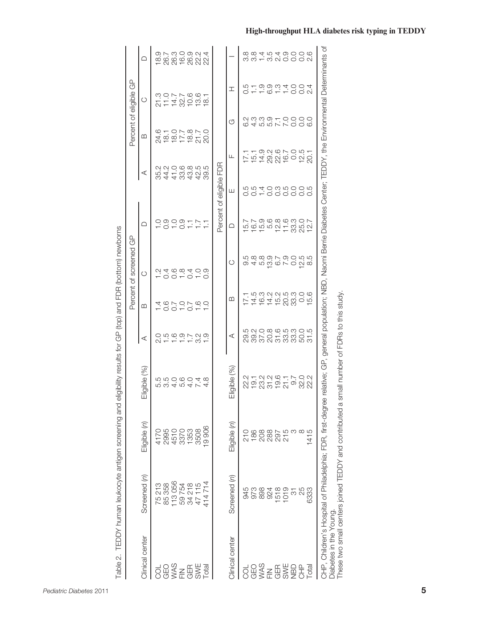|                              | Table 2. TEDDY human leukocyte antigen screening and                                                                                                                                                                                |                  | eligibility results for GP (top) and FDR (bottom) newborns |   |                                 | Percent of screened                       | ලි            |                           |                      | Percent of eligible GP                |                     |                          |
|------------------------------|-------------------------------------------------------------------------------------------------------------------------------------------------------------------------------------------------------------------------------------|------------------|------------------------------------------------------------|---|---------------------------------|-------------------------------------------|---------------|---------------------------|----------------------|---------------------------------------|---------------------|--------------------------|
| Clinical center              | Screened (n)                                                                                                                                                                                                                        | Eligible (n)     | Eligible (%)                                               | ⋖ | മ                               | $\circ$                                   | ≏             |                           | ⋖                    | $\omega$                              | $\circ$             | ≏                        |
| ğ                            |                                                                                                                                                                                                                                     |                  |                                                            |   |                                 |                                           |               |                           |                      |                                       |                     |                          |
| OES<br>VAS<br>EUS<br>OER     | 75 213<br>85 358                                                                                                                                                                                                                    |                  | row 4 ro 4 r 4<br>ro co 6 0 4 co                           |   | + 00 + 0 + +<br>+ 0 + 0 + 0 + + | - 00 - 0 - 0<br>- 00 - 0 - 0              |               |                           | 84484489444894489    | 8107870<br>8107870<br>810787          | 2117661<br>21178561 |                          |
|                              | 113056                                                                                                                                                                                                                              |                  |                                                            |   |                                 |                                           | $0.007 - 0.7$ |                           |                      |                                       |                     |                          |
|                              |                                                                                                                                                                                                                                     |                  |                                                            |   |                                 |                                           |               |                           |                      |                                       |                     |                          |
|                              | 59 754<br>34 218<br>47 115                                                                                                                                                                                                          |                  |                                                            |   |                                 |                                           |               |                           |                      |                                       |                     |                          |
| SWE                          |                                                                                                                                                                                                                                     | 3508             |                                                            |   |                                 |                                           | $\ddot{ }$ .  |                           |                      |                                       |                     |                          |
| <b>Total</b>                 | 114714                                                                                                                                                                                                                              | 19 906           |                                                            |   |                                 |                                           |               |                           |                      |                                       |                     |                          |
|                              |                                                                                                                                                                                                                                     |                  |                                                            |   |                                 |                                           |               | Percent of eligible FDR   |                      |                                       |                     |                          |
| Clinical center              | Screened (n)                                                                                                                                                                                                                        | Eligible (n)     | Eligible (%)                                               | ⋖ | മ                               | Õ                                         | ≏             | Ш                         | Щ                    | G                                     | エ                   |                          |
|                              |                                                                                                                                                                                                                                     | 210              |                                                            |   |                                 |                                           | ΓQ            |                           |                      |                                       | 0.5                 |                          |
| OQ≫EQ&SBE<br>OM≹SE@%<br>OQ\$ | 45<br>978<br>98                                                                                                                                                                                                                     |                  | 211231617<br>20221919                                      |   |                                 | ca co co co co co<br>co co co co co co co |               | oo – oooooo<br>wwd ounoon | 15.1                 | c4 r r r r o o o<br>c 4 r r r o o o o | $-0.0004004$        | contracoon<br>contracoon |
|                              |                                                                                                                                                                                                                                     | 186<br>208<br>28 |                                                            |   |                                 |                                           |               |                           |                      |                                       |                     |                          |
|                              | 924                                                                                                                                                                                                                                 |                  |                                                            |   | れれれたのは<br>4.6.4.6.63            |                                           |               |                           | 1<br>1926<br>1937 01 |                                       |                     |                          |
|                              | 518                                                                                                                                                                                                                                 | 297<br>215       |                                                            |   |                                 |                                           |               |                           |                      |                                       |                     |                          |
|                              | 1019                                                                                                                                                                                                                                |                  |                                                            |   |                                 |                                           |               |                           |                      |                                       |                     |                          |
|                              | <u>რ</u>                                                                                                                                                                                                                            | က ထ              |                                                            |   |                                 |                                           |               |                           |                      |                                       |                     |                          |
|                              | 25                                                                                                                                                                                                                                  |                  | 32.0                                                       |   | O.0                             |                                           | 25.0          |                           |                      |                                       |                     |                          |
| <b>Tota</b>                  | 6333                                                                                                                                                                                                                                | 1415             | 22.2                                                       |   | 5.6                             |                                           | L<br>12.      |                           | 20.1                 |                                       |                     |                          |
| Diabetes in the Young.       | CHP, Children's Hospital of Philadelphia; FDR, first-degree relative; GP, general population; NBD, Naomi Berrie Diabetes Center; TEDDY, the Environmental Determinants of<br>These two small centers joined TEDDY and contributed a |                  | small number of FDRs to this study.                        |   |                                 |                                           |               |                           |                      |                                       |                     |                          |

| í<br>)<br>2<br>$\overline{\mathbf{S}}$        |
|-----------------------------------------------|
| $\frac{1}{2}$<br>$\frac{1}{1}$<br>j<br>l<br>֕ |
| ļ<br>$\overline{\phantom{a}}$<br>į            |
| こくせつ                                          |
| ב<br>פ<br>J                                   |
| Ì<br>i<br>S                                   |
| İ<br>į<br>֚֚֕֡֡֡<br>j<br>۔<br>آ               |
| `<br>ק<br>١<br>J<br>sonaanin                  |
| ă<br>Í<br>i<br>n anti                         |
| j<br>d<br>t<br>s<br>Ï<br>j<br>j               |
| ļ<br>ã<br>Š<br>l                              |
| ĺ<br>J<br>ו)<br>ו<br>$\frac{1}{2}$<br>j       |
| ' able 2.<br>l                                |

# **High-throughput HLA diabetes risk typing in TEDDY**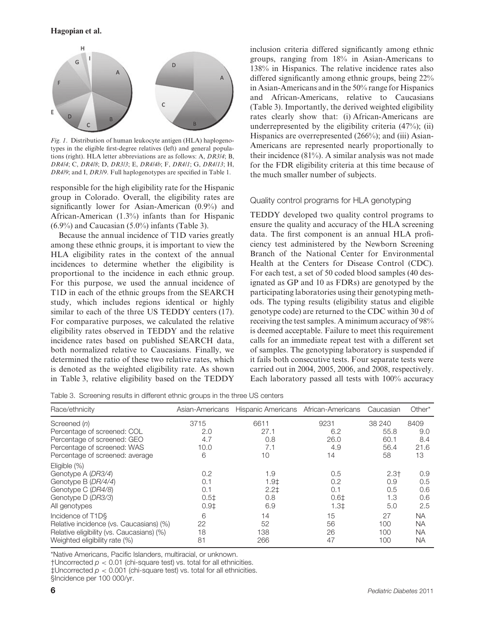

*Fig. 1*. Distribution of human leukocyte antigen (HLA) haplogenotypes in the eligible first-degree relatives (left) and general populations (right). HLA letter abbreviations are as follows: A, *DR3/4*; B, *DR4/4*; C, *DR4/8*; D, *DR3/3*; E, *DR4/4b*; F, *DR4/1*; G, *DR4/13*; H, *DR4/9*; and I, *DR3/9*. Full haplogenotypes are specified in Table 1.

responsible for the high eligibility rate for the Hispanic group in Colorado. Overall, the eligibility rates are significantly lower for Asian-American (0.9%) and African-American (1.3%) infants than for Hispanic (6.9%) and Caucasian (5.0%) infants (Table 3).

Because the annual incidence of T1D varies greatly among these ethnic groups, it is important to view the HLA eligibility rates in the context of the annual incidences to determine whether the eligibility is proportional to the incidence in each ethnic group. For this purpose, we used the annual incidence of T1D in each of the ethnic groups from the SEARCH study, which includes regions identical or highly similar to each of the three US TEDDY centers (17). For comparative purposes, we calculated the relative eligibility rates observed in TEDDY and the relative incidence rates based on published SEARCH data, both normalized relative to Caucasians. Finally, we determined the ratio of these two relative rates, which is denoted as the weighted eligibility rate. As shown in Table 3, relative eligibility based on the TEDDY inclusion criteria differed significantly among ethnic groups, ranging from 18% in Asian-Americans to 138% in Hispanics. The relative incidence rates also differed significantly among ethnic groups, being 22% in Asian-Americans and in the 50% range for Hispanics and African-Americans, relative to Caucasians (Table 3). Importantly, the derived weighted eligibility rates clearly show that: (i) African-Americans are underrepresented by the eligibility criteria  $(47\%)$ ; (ii) Hispanics are overrepresented (266%); and (iii) Asian-Americans are represented nearly proportionally to their incidence  $(81\%)$ . A similar analysis was not made for the FDR eligibility criteria at this time because of the much smaller number of subjects.

## Quality control programs for HLA genotyping

TEDDY developed two quality control programs to ensure the quality and accuracy of the HLA screening data. The first component is an annual HLA proficiency test administered by the Newborn Screening Branch of the National Center for Environmental Health at the Centers for Disease Control (CDC). For each test, a set of 50 coded blood samples (40 designated as GP and 10 as FDRs) are genotyped by the participating laboratories using their genotyping methods. The typing results (eligibility status and eligible genotype code) are returned to the CDC within 30 d of receiving the test samples. A minimum accuracy of 98% is deemed acceptable. Failure to meet this requirement calls for an immediate repeat test with a different set of samples. The genotyping laboratory is suspended if it fails both consecutive tests. Four separate tests were carried out in 2004, 2005, 2006, and 2008, respectively. Each laboratory passed all tests with 100% accuracy

Table 3. Screening results in different ethnic groups in the three US centers

| Race/ethnicity                            | Asian-Americans  | Hispanic Americans African-Americans |        | Caucasian | Other*    |
|-------------------------------------------|------------------|--------------------------------------|--------|-----------|-----------|
| Screened (n)                              | 3715             | 6611                                 | 9231   | 38 240    | 8409      |
| Percentage of screened: COL               | 2.0              | 27.1                                 | 6.2    | 55.8      | 9.0       |
| Percentage of screened: GEO               | 4.7              | 0.8                                  | 26.0   | 60.1      | 8.4       |
| Percentage of screened: WAS               | 10.0             | 7.1                                  | 4.9    | 56.4      | 21.6      |
| Percentage of screened: average           | 6                | 10                                   | 14     | 58        | 13        |
| Eligible $(\%)$                           |                  |                                      |        |           |           |
| Genotype A (DR3/4)                        | 0.2              | 1.9                                  | 0.5    | $2.3+$    | 0.9       |
| Genotype B (DR/4/4)                       | 0.1              | 1.9 <sub>‡</sub>                     | 0.2    | 0.9       | 0.5       |
| Genotype C (DR4/8)                        | 0.1              | $2.2+$                               | 0.1    | 0.5       | 0.6       |
| Genotype D (DR3/3)                        | 0.5 <sup>‡</sup> | 0.8                                  | 0.61   | 1.3       | 0.6       |
| All genotypes                             | $0.9+$           | 6.9                                  | $1.3+$ | 5.0       | 2.5       |
| Incidence of T1D§                         | 6                | 14                                   | 15     | 27        | <b>NA</b> |
| Relative incidence (vs. Caucasians) (%)   | 22               | 52                                   | 56     | 100       | <b>NA</b> |
| Relative eligibility (vs. Caucasians) (%) | 18               | 138                                  | 26     | 100       | <b>NA</b> |
| Weighted eligibility rate (%)             | 81               | 266                                  | 47     | 100       | <b>NA</b> |

\*Native Americans, Pacific Islanders, multiracial, or unknown.

†Uncorrected *p <* 0*.*01 (chi-square test) vs. total for all ethnicities.

‡Uncorrected *p <* 0*.*001 (chi-square test) vs. total for all ethnicities.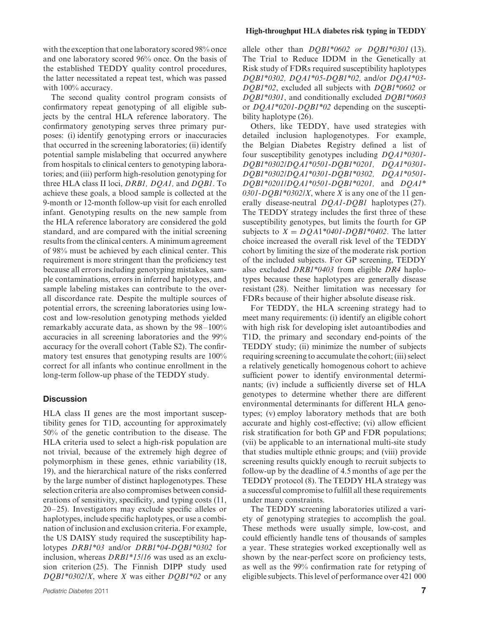with the exception that one laboratory scored 98% once and one laboratory scored 96% once. On the basis of the established TEDDY quality control procedures, the latter necessitated a repeat test, which was passed with 100% accuracy.

The second quality control program consists of confirmatory repeat genotyping of all eligible subjects by the central HLA reference laboratory. The confirmatory genotyping serves three primary purposes: (i) identify genotyping errors or inaccuracies that occurred in the screening laboratories; (ii) identify potential sample mislabeling that occurred anywhere from hospitals to clinical centers to genotyping laboratories; and (iii) perform high-resolution genotyping for three HLA class II loci, *DRB1, DQA1,* and *DQB1*. To achieve these goals, a blood sample is collected at the 9-month or 12-month follow-up visit for each enrolled infant. Genotyping results on the new sample from the HLA reference laboratory are considered the gold standard, and are compared with the initial screening results from the clinical centers. A minimum agreement of 98% must be achieved by each clinical center. This requirement is more stringent than the proficiency test because all errors including genotyping mistakes, sample contaminations, errors in inferred haplotypes, and sample labeling mistakes can contribute to the overall discordance rate. Despite the multiple sources of potential errors, the screening laboratories using lowcost and low-resolution genotyping methods yielded remarkably accurate data, as shown by the 98–100% accuracies in all screening laboratories and the 99% accuracy for the overall cohort (Table S2). The confirmatory test ensures that genotyping results are 100% correct for all infants who continue enrollment in the long-term follow-up phase of the TEDDY study.

#### **Discussion**

HLA class II genes are the most important susceptibility genes for T1D, accounting for approximately 50% of the genetic contribution to the disease. The HLA criteria used to select a high-risk population are not trivial, because of the extremely high degree of polymorphism in these genes, ethnic variability (18, 19), and the hierarchical nature of the risks conferred by the large number of distinct haplogenotypes. These selection criteria are also compromises between considerations of sensitivity, specificity, and typing costs (11, 20–25). Investigators may exclude specific alleles or haplotypes, include specific haplotypes, or use a combination of inclusion and exclusion criteria. For example, the US DAISY study required the susceptibility haplotypes *DRB1\*03* and/or *DRB1\*04-DQB1\*0302* for inclusion, whereas *DRB1\*15/16* was used as an exclusion criterion (25). The Finnish DIPP study used *DQB1\*0302/X*, where *X* was either *DQB1\*02* or any

#### **High-throughput HLA diabetes risk typing in TEDDY**

allele other than *DQB1\*0602 or DQB1\*0301* (13). The Trial to Reduce IDDM in the Genetically at Risk study of FDRs required susceptibility haplotypes *DQB1\*0302, DQA1\*05-DQB1\*02,* and/or *DQA1\*03- DQB1\*02*, excluded all subjects with *DQB1\*0602* or *DQB1\*0301*, and conditionally excluded *DQB1\*0603* or *DQA1\*0201-DQB1\*02* depending on the susceptibility haplotype (26).

Others, like TEDDY, have used strategies with detailed inclusion haplogenotypes. For example, the Belgian Diabetes Registry defined a list of four susceptibility genotypes including *DQA1\*0301- DQB1\*0302/DQA1\*0501-DQB1\*0201, DQA1\*0301- DQB1\*0302/DQA1\*0301-DQB1\*0302, DQA1\*0501- DQB1\*0201/DQA1\*0501-DQB1\*0201,* and *DQA1\* 0301-DQB1\*0302/X*, where *X* is any one of the 11 generally disease-neutral *DQA1-DQB1* haplotypes (27). The TEDDY strategy includes the first three of these susceptibility genotypes, but limits the fourth for GP subjects to  $X = DQA1*0401-DOBI*0402$ . The latter choice increased the overall risk level of the TEDDY cohort by limiting the size of the moderate risk portion of the included subjects. For GP screening, TEDDY also excluded *DRB1\*0403* from eligible *DR4* haplotypes because these haplotypes are generally disease resistant (28). Neither limitation was necessary for FDRs because of their higher absolute disease risk.

For TEDDY, the HLA screening strategy had to meet many requirements: (i) identify an eligible cohort with high risk for developing islet autoantibodies and T1D, the primary and secondary end-points of the TEDDY study; (ii) minimize the number of subjects requiring screening to accumulate the cohort; (iii) select a relatively genetically homogenous cohort to achieve sufficient power to identify environmental determinants; (iv) include a sufficiently diverse set of HLA genotypes to determine whether there are different environmental determinants for different HLA genotypes; (v) employ laboratory methods that are both accurate and highly cost-effective; (vi) allow efficient risk stratification for both GP and FDR populations; (vii) be applicable to an international multi-site study that studies multiple ethnic groups; and (viii) provide screening results quickly enough to recruit subjects to follow-up by the deadline of 4.5 months of age per the TEDDY protocol (8). The TEDDY HLA strategy was a successful compromise to fulfill all these requirements under many constraints.

The TEDDY screening laboratories utilized a variety of genotyping strategies to accomplish the goal. These methods were usually simple, low-cost, and could efficiently handle tens of thousands of samples a year. These strategies worked exceptionally well as shown by the near-perfect score on proficiency tests, as well as the 99% confirmation rate for retyping of eligible subjects. This level of performance over 421 000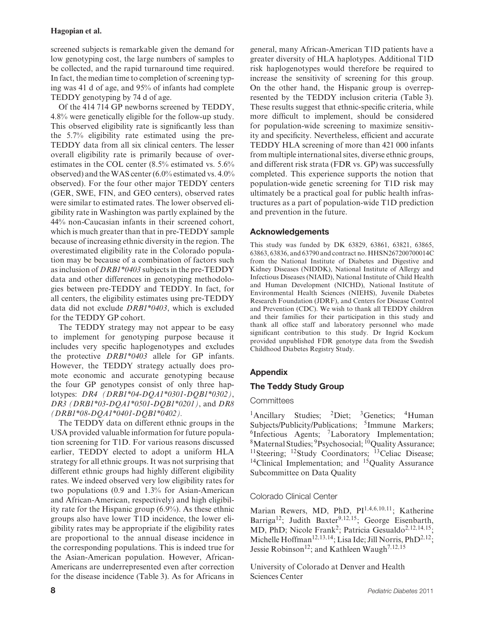screened subjects is remarkable given the demand for low genotyping cost, the large numbers of samples to be collected, and the rapid turnaround time required. In fact, the median time to completion of screening typing was 41 d of age, and 95% of infants had complete TEDDY genotyping by 74 d of age.

Of the 414 714 GP newborns screened by TEDDY, 4.8% were genetically eligible for the follow-up study. This observed eligibility rate is significantly less than the 5.7% eligibility rate estimated using the pre-TEDDY data from all six clinical centers. The lesser overall eligibility rate is primarily because of overestimates in the COL center (8.5% estimated vs. 5.6% observed) and theWAS center (6.0% estimated vs. 4.0% observed). For the four other major TEDDY centers (GER, SWE, FIN, and GEO centers), observed rates were similar to estimated rates. The lower observed eligibility rate in Washington was partly explained by the 44% non-Caucasian infants in their screened cohort, which is much greater than that in pre-TEDDY sample because of increasing ethnic diversity in the region. The overestimated eligibility rate in the Colorado population may be because of a combination of factors such as inclusion of *DRB1\*0403* subjects in the pre-TEDDY data and other differences in genotyping methodologies between pre-TEDDY and TEDDY. In fact, for all centers, the eligibility estimates using pre-TEDDY data did not exclude *DRB1\*0403*, which is excluded for the TEDDY GP cohort.

The TEDDY strategy may not appear to be easy to implement for genotyping purpose because it includes very specific haplogenotypes and excludes the protective *DRB1\*0403* allele for GP infants. However, the TEDDY strategy actually does promote economic and accurate genotyping because the four GP genotypes consist of only three haplotypes: *DR4 (DRB1\*04-DQA1\*0301-DQB1\*0302)*, *DR3 (DRB1\*03-DQA1\*0501-DQB1\*0201)*, and *DR8 (DRB1\*08-DQA1\*0401-DQB1\*0402).*

The TEDDY data on different ethnic groups in the USA provided valuable information for future population screening for T1D. For various reasons discussed earlier, TEDDY elected to adopt a uniform HLA strategy for all ethnic groups. It was not surprising that different ethnic groups had highly different eligibility rates. We indeed observed very low eligibility rates for two populations (0.9 and 1.3% for Asian-American and African-American, respectively) and high eligibility rate for the Hispanic group (6.9%). As these ethnic groups also have lower T1D incidence, the lower eligibility rates may be appropriate if the eligibility rates are proportional to the annual disease incidence in the corresponding populations. This is indeed true for the Asian-American population. However, African-Americans are underrepresented even after correction for the disease incidence (Table 3). As for Africans in

general, many African-American T1D patients have a greater diversity of HLA haplotypes. Additional T1D risk haplogenotypes would therefore be required to increase the sensitivity of screening for this group. On the other hand, the Hispanic group is overrepresented by the TEDDY inclusion criteria (Table 3). These results suggest that ethnic-specific criteria, while more difficult to implement, should be considered for population-wide screening to maximize sensitivity and specificity. Nevertheless, efficient and accurate TEDDY HLA screening of more than 421 000 infants from multiple international sites, diverse ethnic groups, and different risk strata (FDR vs. GP) was successfully completed. This experience supports the notion that population-wide genetic screening for T1D risk may ultimately be a practical goal for public health infrastructures as a part of population-wide T1D prediction and prevention in the future.

# **Acknowledgements**

This study was funded by DK 63829, 63861, 63821, 63865, 63863, 63836, and 63790 and contract no. HHSN267200700014C from the National Institute of Diabetes and Digestive and Kidney Diseases (NIDDK), National Institute of Allergy and Infectious Diseases (NIAID), National Institute of Child Health and Human Development (NICHD), National Institute of Environmental Health Sciences (NIEHS), Juvenile Diabetes Research Foundation (JDRF), and Centers for Disease Control and Prevention (CDC). We wish to thank all TEDDY children and their families for their participation in this study and thank all office staff and laboratory personnel who made significant contribution to this study. Dr Ingrid Kockum provided unpublished FDR genotype data from the Swedish Childhood Diabetes Registry Study.

# **Appendix**

# **The Teddy Study Group**

### **Committees**

<sup>1</sup>Ancillary Studies; <sup>2</sup>Diet; <sup>3</sup>Genetics; <sup>4</sup>Human Subjects/Publicity/Publications; <sup>5</sup>Immune Markers; <sup>6</sup>Infectious Agents; <sup>7</sup>Laboratory Implementation; <sup>8</sup>Maternal Studies; <sup>9</sup>Psychosocial; <sup>10</sup>Quality Assurance; <sup>11</sup>Steering; <sup>12</sup>Study Coordinators; <sup>13</sup>Celiac Disease; <sup>14</sup>Clinical Implementation; and <sup>15</sup>Quality Assurance Subcommittee on Data Quality

# Colorado Clinical Center

Marian Rewers, MD, PhD, PI1*,*4*,*6*,*10*,*11; Katherine Barriga<sup>12</sup>; Judith Baxter<sup>9,12,15</sup>; George Eisenbarth, MD, PhD; Nicole Frank<sup>2</sup>; Patricia Gesualdo<sup>2,12,14,15</sup>; Michelle Hoffman<sup>12, 13, 14</sup>; Lisa Ide; Jill Norris, PhD<sup>2, 12</sup>; Jessie Robinson12; and Kathleen Waugh7*,*12*,*<sup>15</sup>

University of Colorado at Denver and Health Sciences Center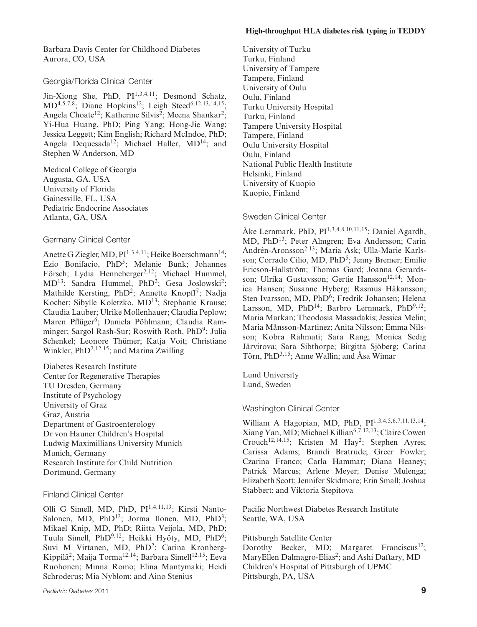Barbara Davis Center for Childhood Diabetes Aurora, CO, USA

### Georgia/Florida Clinical Center

Jin-Xiong She, PhD, PI1*,*3*,*4*,*11; Desmond Schatz, MD4*,*5*,*7*,*8; Diane Hopkins12; Leigh Steed6*,*12*,*13*,*14*,*15; Angela Choate<sup>12</sup>; Katherine Silvis<sup>2</sup>; Meena Shankar<sup>2</sup>; Yi-Hua Huang, PhD; Ping Yang; Hong-Jie Wang; Jessica Leggett; Kim English; Richard McIndoe, PhD; Angela Dequesada<sup>12</sup>; Michael Haller, MD<sup>14</sup>; and Stephen W Anderson, MD

Medical College of Georgia Augusta, GA, USA University of Florida Gainesville, FL, USA Pediatric Endocrine Associates Atlanta, GA, USA

### Germany Clinical Center

Anette G Ziegler, MD, PI<sup>1,3,4,11</sup>; Heike Boerschmann<sup>14</sup>; Ezio Bonifacio, PhD<sup>5</sup>; Melanie Bunk; Johannes Försch; Lydia Henneberger<sup>2,12</sup>; Michael Hummel, MD<sup>13</sup>; Sandra Hummel, PhD<sup>2</sup>; Gesa Joslowski<sup>2</sup>; Mathilde Kersting,  $PhD<sup>2</sup>$ ; Annette Knopff<sup>7</sup>; Nadja Kocher; Sibylle Koletzko, MD13; Stephanie Krause; Claudia Lauber; Ulrike Mollenhauer; Claudia Peplow; Maren Pflüger<sup>6</sup>; Daniela Pöhlmann; Claudia Ramminger; Sargol Rash-Sur; Roswith Roth, PhD<sup>9</sup>; Julia Schenkel; Leonore Thümer; Katja Voit; Christiane Winkler, PhD2*,*12*,*15; and Marina Zwilling

Diabetes Research Institute Center for Regenerative Therapies TU Dresden, Germany Institute of Psychology University of Graz Graz, Austria Department of Gastroenterology Dr von Hauner Children's Hospital Ludwig Maximillians University Munich Munich, Germany Research Institute for Child Nutrition Dortmund, Germany

### Finland Clinical Center

Olli G Simell, MD, PhD, PI1*,*4*,*11*,*13; Kirsti Nanto-Salonen, MD, PhD<sup>12</sup>; Jorma Ilonen, MD, PhD<sup>3</sup>; Mikael Knip, MD, PhD; Riitta Veijola, MD, PhD; Tuula Simell, PhD<sup>9,12</sup>; Heikki Hyöty, MD, PhD<sup>6</sup>; Suvi M Virtanen, MD, PhD<sup>2</sup>; Carina Kronberg-Kippila<sup>2</sup>; Maija Torma<sup>12,14</sup>; Barbara Simell<sup>12,15</sup>; Eeva Ruohonen; Minna Romo; Elina Mantymaki; Heidi Schroderus; Mia Nyblom; and Aino Stenius

University of Turku Turku, Finland University of Tampere Tampere, Finland University of Oulu Oulu, Finland Turku University Hospital Turku, Finland Tampere University Hospital Tampere, Finland Oulu University Hospital Oulu, Finland National Public Health Institute Helsinki, Finland University of Kuopio Kuopio, Finland

### Sweden Clinical Center

Ake Lernmark, PhD, PI ˚ <sup>1</sup>*,*3*,*4*,*8*,*10*,*11*,*15; Daniel Agardh, MD, PhD13; Peter Almgren; Eva Andersson; Carin Andrén-Aronsson<sup>2,13</sup>; Maria Ask; Ulla-Marie Karlsson; Corrado Cilio, MD, PhD<sup>5</sup>; Jenny Bremer; Emilie Ericson-Hallström; Thomas Gard; Joanna Gerardsson; Ulrika Gustavsson; Gertie Hansson<sup>12,14</sup>; Monica Hansen; Susanne Hyberg; Rasmus Håkansson; Sten Ivarsson, MD, PhD<sup>6</sup>; Fredrik Johansen; Helena Larsson, MD, PhD<sup>14</sup>; Barbro Lernmark, PhD<sup>9,12</sup>; Maria Markan; Theodosia Massadakis; Jessica Melin; Maria Månsson-Martinez; Anita Nilsson; Emma Nilsson; Kobra Rahmati; Sara Rang; Monica Sedig Järvirova; Sara Sibthorpe; Birgitta Sjöberg; Carina Törn, PhD<sup>3,15</sup>; Anne Wallin; and Åsa Wimar

Lund University Lund, Sweden

# Washington Clinical Center

William A Hagopian, MD, PhD, PI1*,*3*,*4*,*5*,*6*,*7*,*11*,*13*,*14; Xiang Yan, MD; Michael Killian6*,*7*,*12*,*13; Claire Cowen Crouch<sup>12,14,15; Kristen M Hay<sup>2</sup>; Stephen Ayres;</sup> Carissa Adams; Brandi Bratrude; Greer Fowler; Czarina Franco; Carla Hammar; Diana Heaney; Patrick Marcus; Arlene Meyer; Denise Mulenga; Elizabeth Scott; Jennifer Skidmore; Erin Small; Joshua Stabbert; and Viktoria Stepitova

Pacific Northwest Diabetes Research Institute Seattle, WA, USA

Pittsburgh Satellite Center Dorothy Becker, MD; Margaret Franciscus<sup>12</sup>; MaryEllen Dalmagro-Elias<sup>2</sup>; and Ashi Daftary, MD Children's Hospital of Pittsburgh of UPMC Pittsburgh, PA, USA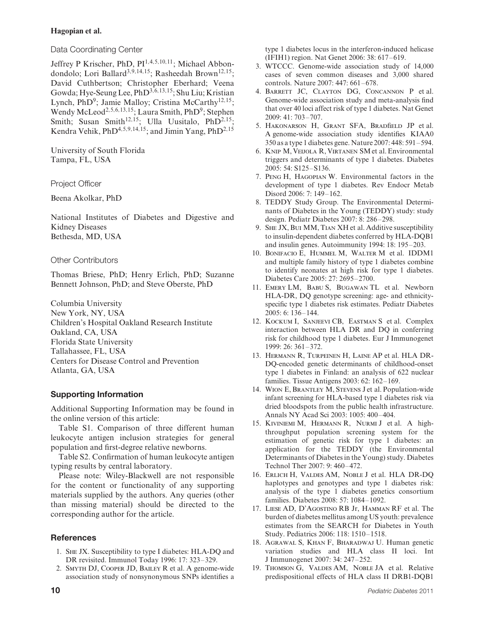Data Coordinating Center

Jeffrey P Krischer, PhD, PI1*,*4*,*5*,*10*,*11; Michael Abbondondolo; Lori Ballard3*,*9*,*14*,*15; Rasheedah Brown12*,*15; David Cuthbertson; Christopher Eberhard; Veena Gowda; Hye-Seung Lee, PhD3*,*6*,*13*,*15; Shu Liu; Kristian Lynch, PhD<sup>9</sup>; Jamie Malloy; Cristina McCarthy<sup>12,15</sup>; Wendy McLeod2*,*5*,*6*,*13*,*15; Laura Smith, PhD9; Stephen Smith; Susan Smith<sup>12,15</sup>; Ulla Uusitalo, PhD<sup>2,15</sup>; Kendra Vehik, PhD4*,*5*,*9*,*14*,*15; and Jimin Yang, PhD2*,*<sup>15</sup>

University of South Florida Tampa, FL, USA

Project Officer

Beena Akolkar, PhD

National Institutes of Diabetes and Digestive and Kidney Diseases Bethesda, MD, USA

### Other Contributors

Thomas Briese, PhD; Henry Erlich, PhD; Suzanne Bennett Johnson, PhD; and Steve Oberste, PhD

Columbia University New York, NY, USA Children's Hospital Oakland Research Institute Oakland, CA, USA Florida State University Tallahassee, FL, USA Centers for Disease Control and Prevention Atlanta, GA, USA

# **Supporting Information**

Additional Supporting Information may be found in the online version of this article:

Table S1. Comparison of three different human leukocyte antigen inclusion strategies for general population and first-degree relative newborns.

Table S2. Confirmation of human leukocyte antigen typing results by central laboratory.

Please note: Wiley-Blackwell are not responsible for the content or functionality of any supporting materials supplied by the authors. Any queries (other than missing material) should be directed to the corresponding author for the article.

# **References**

- 1. She JX. Susceptibility to type I diabetes: HLA-DQ and DR revisited. Immunol Today 1996: 17: 323–329.
- 2. Smyth DJ, Cooper JD, Bailey R et al. A genome-wide association study of nonsynonymous SNPs identifies a

type 1 diabetes locus in the interferon-induced helicase (IFIH1) region. Nat Genet 2006: 38: 617–619.

- 3. WTCCC. Genome-wide association study of 14,000 cases of seven common diseases and 3,000 shared controls. Nature 2007: 447: 661–678.
- 4. Barrett JC, Clayton DG, Concannon P et al. Genome-wide association study and meta-analysis find that over 40 loci affect risk of type 1 diabetes. Nat Genet 2009: 41: 703–707.
- 5. Hakonarson H, Grant SFA, Bradfield JP et al. A genome-wide association study identifies KIAA0 350 as a type 1 diabetes gene. Nature 2007: 448: 591–594.
- 6. Knip M, Veijola R, Virtanen SM et al. Environmental triggers and determinants of type 1 diabetes. Diabetes 2005: 54: S125–S136.
- 7. Peng H, Hagopian W. Environmental factors in the development of type 1 diabetes. Rev Endocr Metab Disord 2006: 7: 149–162.
- 8. TEDDY Study Group. The Environmental Determinants of Diabetes in the Young (TEDDY) study: study design. Pediatr Diabetes 2007: 8: 286–298.
- 9. She JX, Bui MM, Tian XH et al. Additive susceptibility to insulin-dependent diabetes conferred by HLA-DQB1 and insulin genes. Autoimmunity 1994: 18: 195–203.
- 10. Bonifacio E, Hummel M, Walter M et al. IDDM1 and multiple family history of type 1 diabetes combine to identify neonates at high risk for type 1 diabetes. Diabetes Care 2005: 27: 2695–2700.
- 11. Emery LM, Babu S, Bugawan TL et al. Newborn HLA-DR, DQ genotype screening: age- and ethnicityspecific type 1 diabetes risk estimates. Pediatr Diabetes 2005: 6: 136–144.
- 12. Kockum I, Sanjeevi CB, Eastman S et al. Complex interaction between HLA DR and DQ in conferring risk for childhood type 1 diabetes. Eur J Immunogenet 1999: 26: 361–372.
- 13. Hermann R, Turpeinen H, Laine AP et al. HLA DR-DQ-encoded genetic determinants of childhood-onset type 1 diabetes in Finland: an analysis of 622 nuclear families. Tissue Antigens 2003: 62: 162–169.
- 14. Wion E, Brantley M, Stevens J et al. Population-wide infant screening for HLA-based type 1 diabetes risk via dried bloodspots from the public health infrastructure. Annals NY Acad Sci 2003: 1005: 400–404.
- 15. Kiviniemi M, Hermann R, Nurmi J et al. A highthroughput population screening system for the estimation of genetic risk for type 1 diabetes: an application for the TEDDY (the Environmental Determinants of Diabetes in the Young) study. Diabetes Technol Ther 2007: 9: 460–472.
- 16. Erlich H, Valdes AM, Noble J et al. HLA DR-DQ haplotypes and genotypes and type 1 diabetes risk: analysis of the type 1 diabetes genetics consortium families. Diabetes 2008: 57: 1084–1092.
- 17. Liese AD, D'Agostino RB Jr, Hamman RF et al. The burden of diabetes mellitus among US youth: prevalence estimates from the SEARCH for Diabetes in Youth Study. Pediatrics 2006: 118: 1510–1518.
- 18. Agrawal S, Khan F, Bharadwaj U. Human genetic variation studies and HLA class II loci. Int J Immunogenet 2007: 34: 247–252.
- 19. Thomson G, Valdes AM, Noble JA et al. Relative predispositional effects of HLA class II DRB1-DQB1